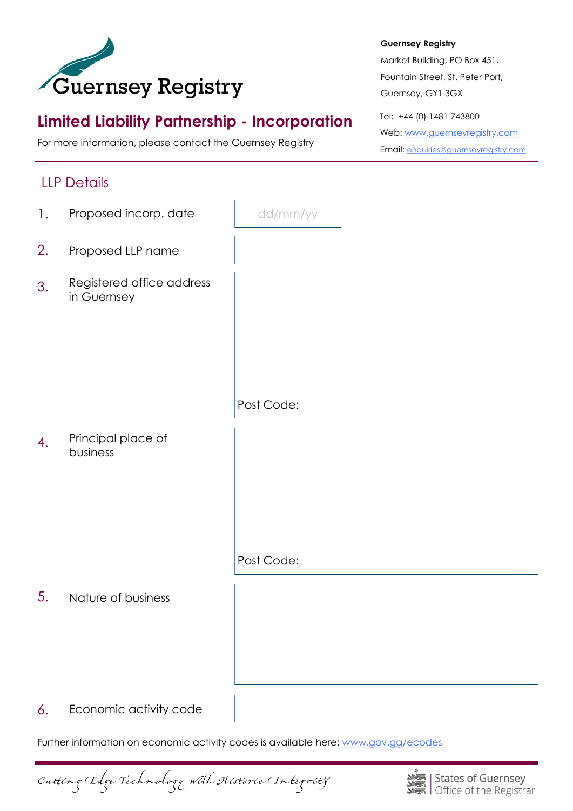

#### **Guernsey Registry**

Market Building, PO Box 451, Fountain Street, St. Peter Port, Guernsey, GY1 3GX

# **Limited Liability Partnership - Incorporation**

For more information, please contact the Guernsey Registry

# Tel: +44 (0) 1481 743800 Web: [www.guernseyregistry.com](http://www.guernseyregistry.com) Email: [enquiries@guernseyregistry.com](mailto:enquiries@guernseyregistry.com)

# LLP Details

| 1. | Proposed incorp. date                    | dd/mm/yy   |
|----|------------------------------------------|------------|
| 2. | Proposed LLP name                        |            |
| 3. | Registered office address<br>in Guernsey |            |
|    |                                          |            |
|    |                                          | Post Code: |
| 4. | Principal place of<br>business           |            |
|    |                                          | Post Code: |
|    |                                          |            |
| 5. | Nature of business                       |            |
| 6. | Economic activity code                   |            |

Further information on economic activity codes is available here: [www.gov.gg/ecodes](http://www.gov.gg/ecodes)

Cutting Edge Technology with Historic Integrity

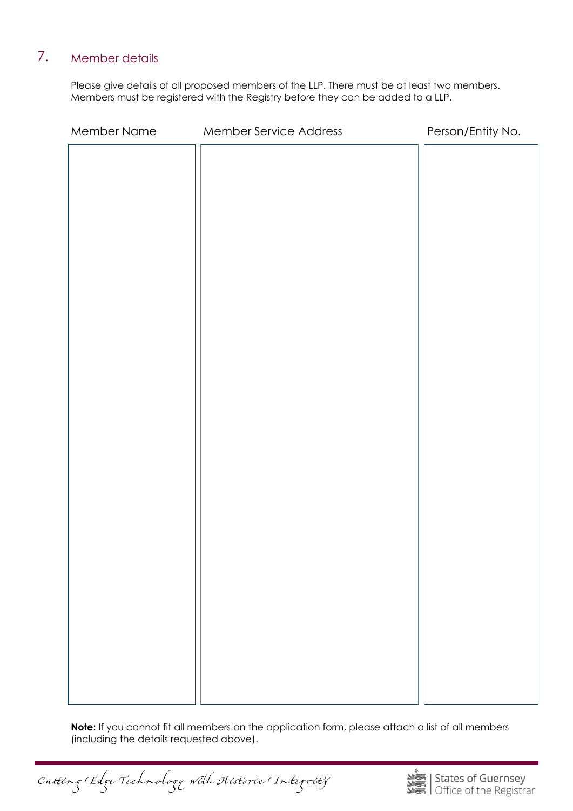#### 7. Member details

Please give details of all proposed members of the LLP. There must be at least two members. Members must be registered with the Registry before they can be added to a LLP.

| Member Name | Member Service Address | Person/Entity No. |
|-------------|------------------------|-------------------|
|             |                        |                   |
|             |                        |                   |
|             |                        |                   |
|             |                        |                   |
|             |                        |                   |
|             |                        |                   |
|             |                        |                   |
|             |                        |                   |
|             |                        |                   |
|             |                        |                   |
|             |                        |                   |
|             |                        |                   |
|             |                        |                   |
|             |                        |                   |
|             |                        |                   |
|             |                        |                   |
|             |                        |                   |
|             |                        |                   |
|             |                        |                   |
|             |                        |                   |
|             |                        |                   |
|             |                        |                   |
|             |                        |                   |
|             |                        |                   |

**Note:** If you cannot fit all members on the application form, please attach a list of all members (including the details requested above).

Cutting Edge Technology with Historic Integrity

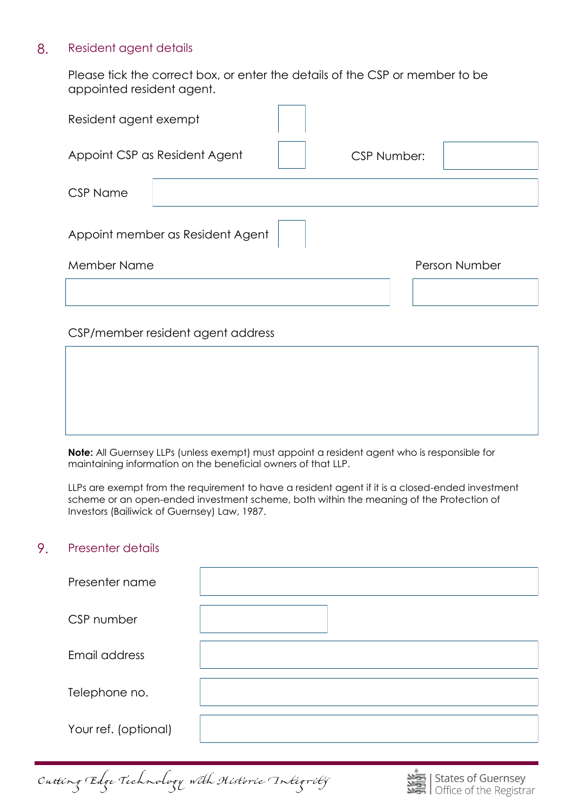### 8. Resident agent details

Please tick the correct box, or enter the details of the CSP or member to be appointed resident agent.

| Resident agent exempt            |                                   |  |                    |  |               |  |
|----------------------------------|-----------------------------------|--|--------------------|--|---------------|--|
| Appoint CSP as Resident Agent    |                                   |  | <b>CSP Number:</b> |  |               |  |
| <b>CSP Name</b>                  |                                   |  |                    |  |               |  |
| Appoint member as Resident Agent |                                   |  |                    |  |               |  |
| Member Name                      |                                   |  |                    |  | Person Number |  |
|                                  |                                   |  |                    |  |               |  |
|                                  | CSP/member resident agent address |  |                    |  |               |  |

**Note:** All Guernsey LLPs (unless exempt) must appoint a resident agent who is responsible for maintaining information on the beneficial owners of that LLP.

LLPs are exempt from the requirement to have a resident agent if it is a closed-ended investment scheme or an open-ended investment scheme, both within the meaning of the Protection of Investors (Bailiwick of Guernsey) Law, 1987.

#### 9. Presenter details

| Presenter name       |  |
|----------------------|--|
| CSP number           |  |
| Email address        |  |
| Telephone no.        |  |
| Your ref. (optional) |  |

Cutting Edge Technology with Historic Integrity